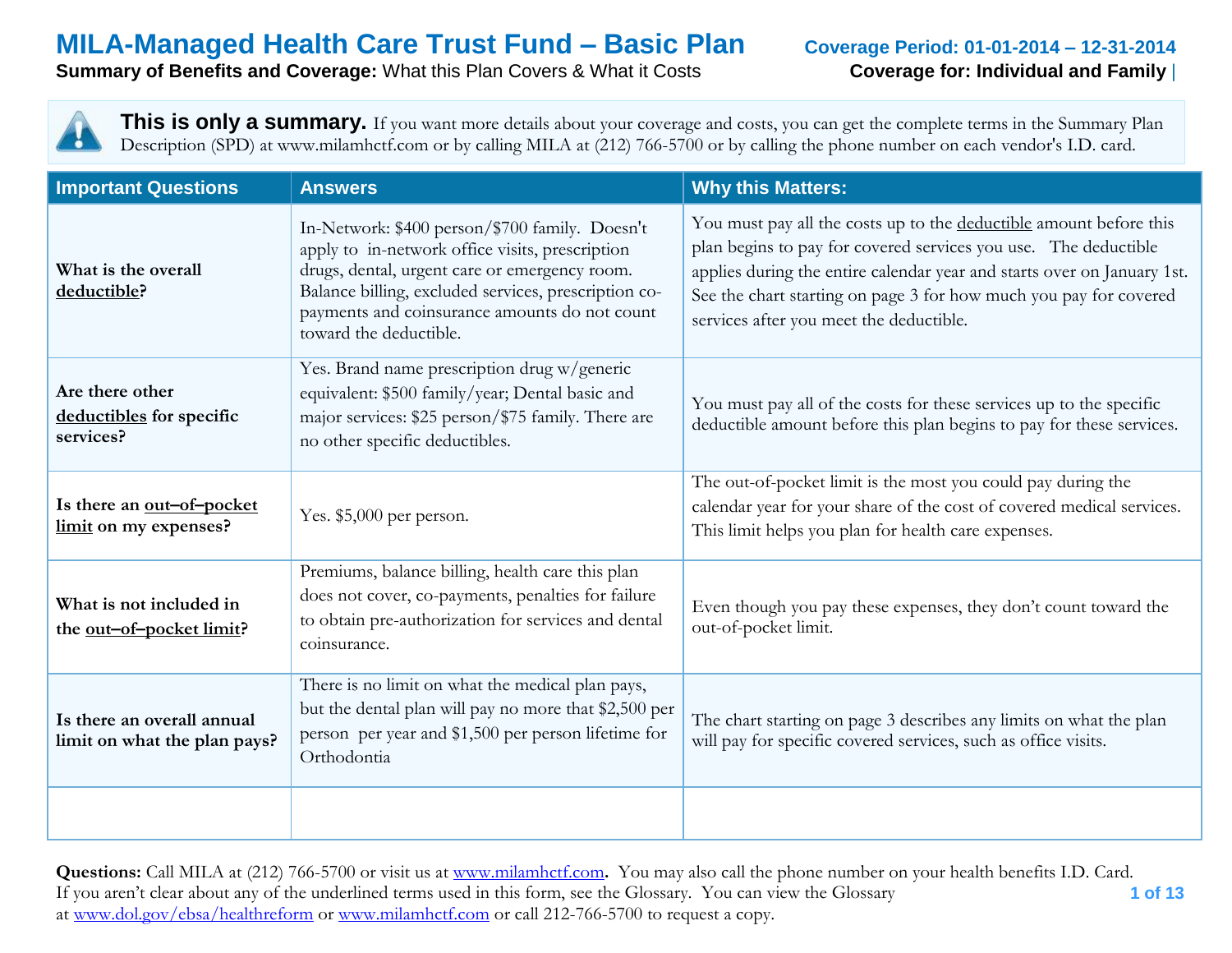**Summary of Benefits and Coverage:** What this Plan Covers & What it Costs **Coverage for: Individual and Family** 

**This is only a summary.** If you want more details about your coverage and costs, you can get the complete terms in the Summary Plan Description (SPD) at www.milamhctf.com or by calling MILA at (212) 766-5700 or by calling the phone number on each vendor's I.D. card.

| <b>Important Questions</b>                                  | <b>Answers</b>                                                                                                                                                                                                                                                                        | <b>Why this Matters:</b>                                                                                                                                                                                                                                                                                                         |
|-------------------------------------------------------------|---------------------------------------------------------------------------------------------------------------------------------------------------------------------------------------------------------------------------------------------------------------------------------------|----------------------------------------------------------------------------------------------------------------------------------------------------------------------------------------------------------------------------------------------------------------------------------------------------------------------------------|
| What is the overall<br>deductible?                          | In-Network: \$400 person/\$700 family. Doesn't<br>apply to in-network office visits, prescription<br>drugs, dental, urgent care or emergency room.<br>Balance billing, excluded services, prescription co-<br>payments and coinsurance amounts do not count<br>toward the deductible. | You must pay all the costs up to the deductible amount before this<br>plan begins to pay for covered services you use. The deductible<br>applies during the entire calendar year and starts over on January 1st.<br>See the chart starting on page 3 for how much you pay for covered<br>services after you meet the deductible. |
| Are there other<br>deductibles for specific<br>services?    | Yes. Brand name prescription drug w/generic<br>equivalent: \$500 family/year; Dental basic and<br>major services: \$25 person/\$75 family. There are<br>no other specific deductibles.                                                                                                | You must pay all of the costs for these services up to the specific<br>deductible amount before this plan begins to pay for these services.                                                                                                                                                                                      |
| Is there an out-of-pocket<br>limit on my expenses?          | Yes. $$5,000$ per person.                                                                                                                                                                                                                                                             | The out-of-pocket limit is the most you could pay during the<br>calendar year for your share of the cost of covered medical services.<br>This limit helps you plan for health care expenses.                                                                                                                                     |
| What is not included in<br>the <u>out-of-pocket limit</u> ? | Premiums, balance billing, health care this plan<br>does not cover, co-payments, penalties for failure<br>to obtain pre-authorization for services and dental<br>coinsurance.                                                                                                         | Even though you pay these expenses, they don't count toward the<br>out-of-pocket limit.                                                                                                                                                                                                                                          |
| Is there an overall annual<br>limit on what the plan pays?  | There is no limit on what the medical plan pays,<br>but the dental plan will pay no more that \$2,500 per<br>person per year and \$1,500 per person lifetime for<br>Orthodontia                                                                                                       | The chart starting on page 3 describes any limits on what the plan<br>will pay for specific covered services, such as office visits.                                                                                                                                                                                             |
|                                                             |                                                                                                                                                                                                                                                                                       |                                                                                                                                                                                                                                                                                                                                  |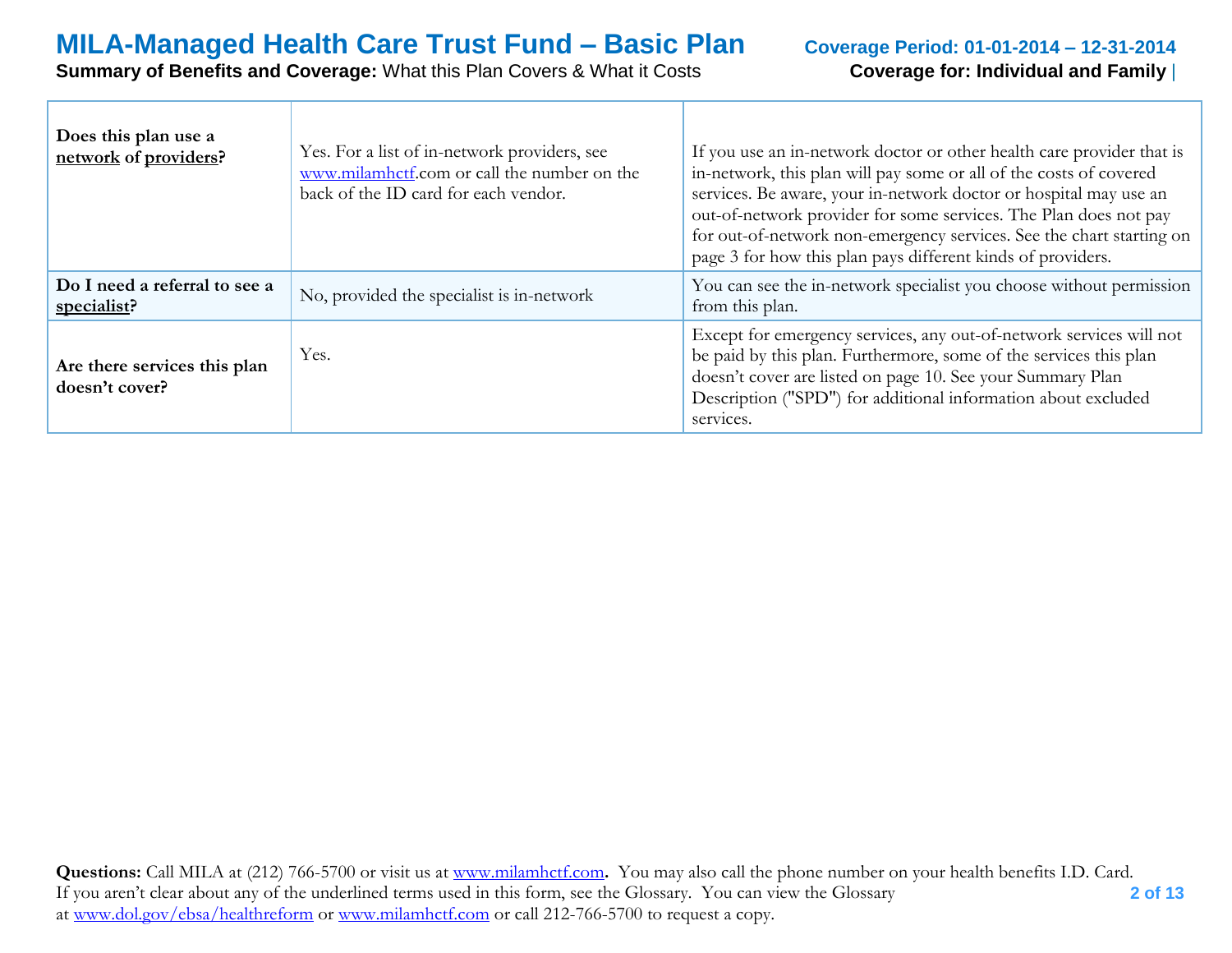# **MILA-Managed Health Care Trust Fund – Basic Plan** Coverage Period: 01-01-2014 – 12-31-2014<br>Summary of Benefits and Coverage: What this Plan Covers & What it Costs Coverage for: Individual and Family |

#### **Summary of Benefits and Coverage: What this Plan Covers & What it Costs**

| Does this plan use a<br>network of providers?  | Yes. For a list of in-network providers, see<br>www.milamhctf.com or call the number on the<br>back of the ID card for each vendor. | If you use an in-network doctor or other health care provider that is<br>in-network, this plan will pay some or all of the costs of covered<br>services. Be aware, your in-network doctor or hospital may use an<br>out-of-network provider for some services. The Plan does not pay<br>for out-of-network non-emergency services. See the chart starting on<br>page 3 for how this plan pays different kinds of providers. |
|------------------------------------------------|-------------------------------------------------------------------------------------------------------------------------------------|-----------------------------------------------------------------------------------------------------------------------------------------------------------------------------------------------------------------------------------------------------------------------------------------------------------------------------------------------------------------------------------------------------------------------------|
| Do I need a referral to see a<br>specialist?   | No, provided the specialist is in-network                                                                                           | You can see the in-network specialist you choose without permission<br>from this plan.                                                                                                                                                                                                                                                                                                                                      |
| Are there services this plan<br>doesn't cover? | Yes.                                                                                                                                | Except for emergency services, any out-of-network services will not<br>be paid by this plan. Furthermore, some of the services this plan<br>doesn't cover are listed on page 10. See your Summary Plan<br>Description ("SPD") for additional information about excluded<br>services.                                                                                                                                        |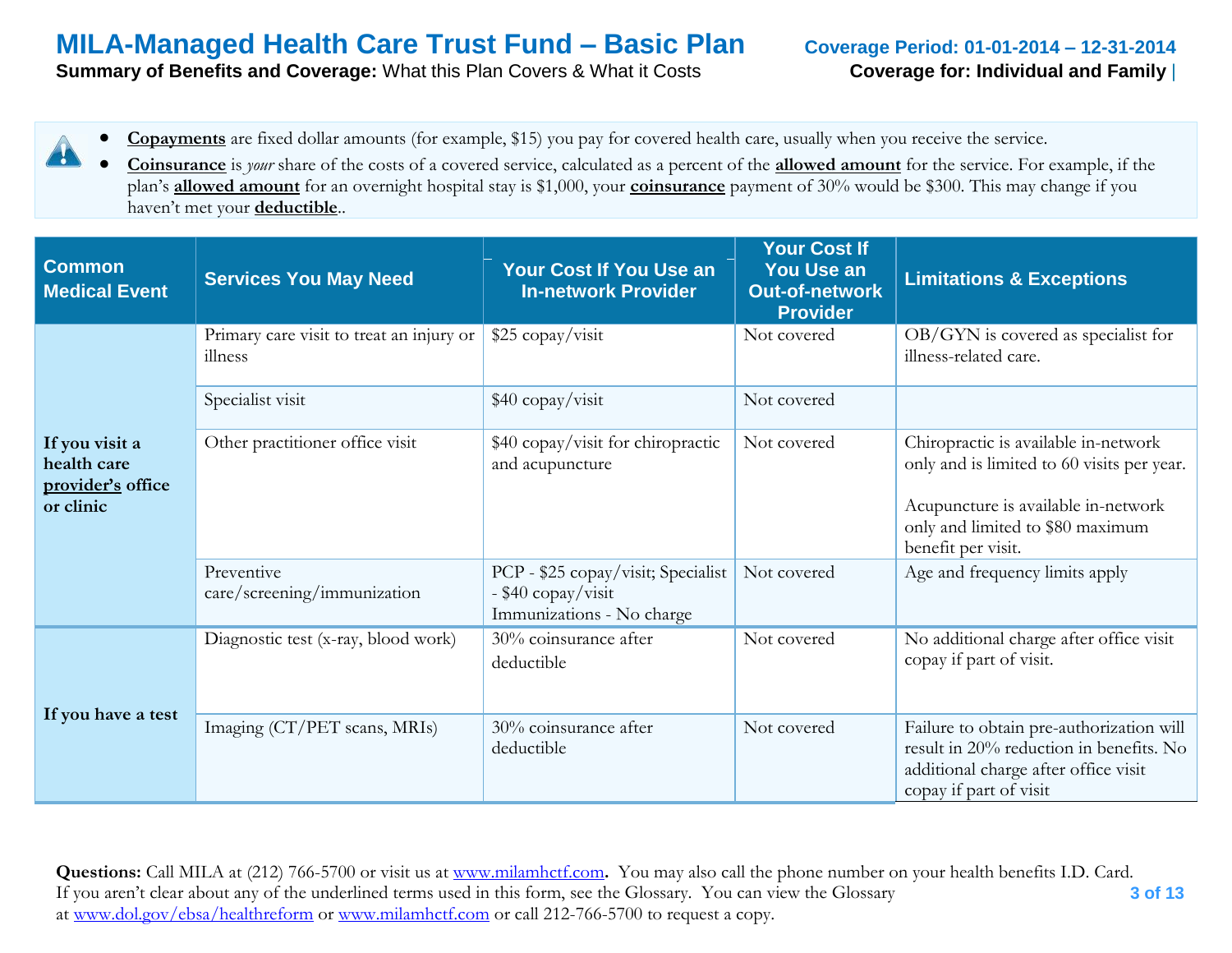**Summary of Benefits and Coverage:** What this Plan Covers & What it Costs **Coverage for: Individual and Family** 

- **Copayments** are fixed dollar amounts (for example, \$15) you pay for covered health care, usually when you receive the service. 4
	- **Coinsurance** is *your* share of the costs of a covered service, calculated as a percent of the **allowed amount** for the service. For example, if the plan's **allowed amount** for an overnight hospital stay is \$1,000, your **coinsurance** payment of 30% would be \$300. This may change if you haven't met your **deductible**..

| <b>Common</b><br><b>Medical Event</b>                           | <b>Services You May Need</b>                        | Your Cost If You Use an<br><b>In-network Provider</b>                                 | <b>Your Cost If</b><br><b>You Use an</b><br><b>Out-of-network</b><br><b>Provider</b> | <b>Limitations &amp; Exceptions</b>                                                                                                                                                 |
|-----------------------------------------------------------------|-----------------------------------------------------|---------------------------------------------------------------------------------------|--------------------------------------------------------------------------------------|-------------------------------------------------------------------------------------------------------------------------------------------------------------------------------------|
|                                                                 | Primary care visit to treat an injury or<br>illness | \$25 copay/visit                                                                      | Not covered                                                                          | OB/GYN is covered as specialist for<br>illness-related care.                                                                                                                        |
|                                                                 | Specialist visit                                    | \$40 copay/visit                                                                      | Not covered                                                                          |                                                                                                                                                                                     |
| If you visit a<br>health care<br>provider's office<br>or clinic | Other practitioner office visit                     | \$40 copay/visit for chiropractic<br>and acupuncture                                  | Not covered                                                                          | Chiropractic is available in-network<br>only and is limited to 60 visits per year.<br>Acupuncture is available in-network<br>only and limited to \$80 maximum<br>benefit per visit. |
|                                                                 | Preventive<br>care/screening/immunization           | PCP - \$25 copay/visit; Specialist<br>- \$40 copay/visit<br>Immunizations - No charge | Not covered                                                                          | Age and frequency limits apply                                                                                                                                                      |
|                                                                 | Diagnostic test (x-ray, blood work)                 | 30% coinsurance after<br>deductible                                                   | Not covered                                                                          | No additional charge after office visit<br>copay if part of visit.                                                                                                                  |
| If you have a test                                              | Imaging (CT/PET scans, MRIs)                        | 30% coinsurance after<br>deductible                                                   | Not covered                                                                          | Failure to obtain pre-authorization will<br>result in 20% reduction in benefits. No<br>additional charge after office visit<br>copay if part of visit                               |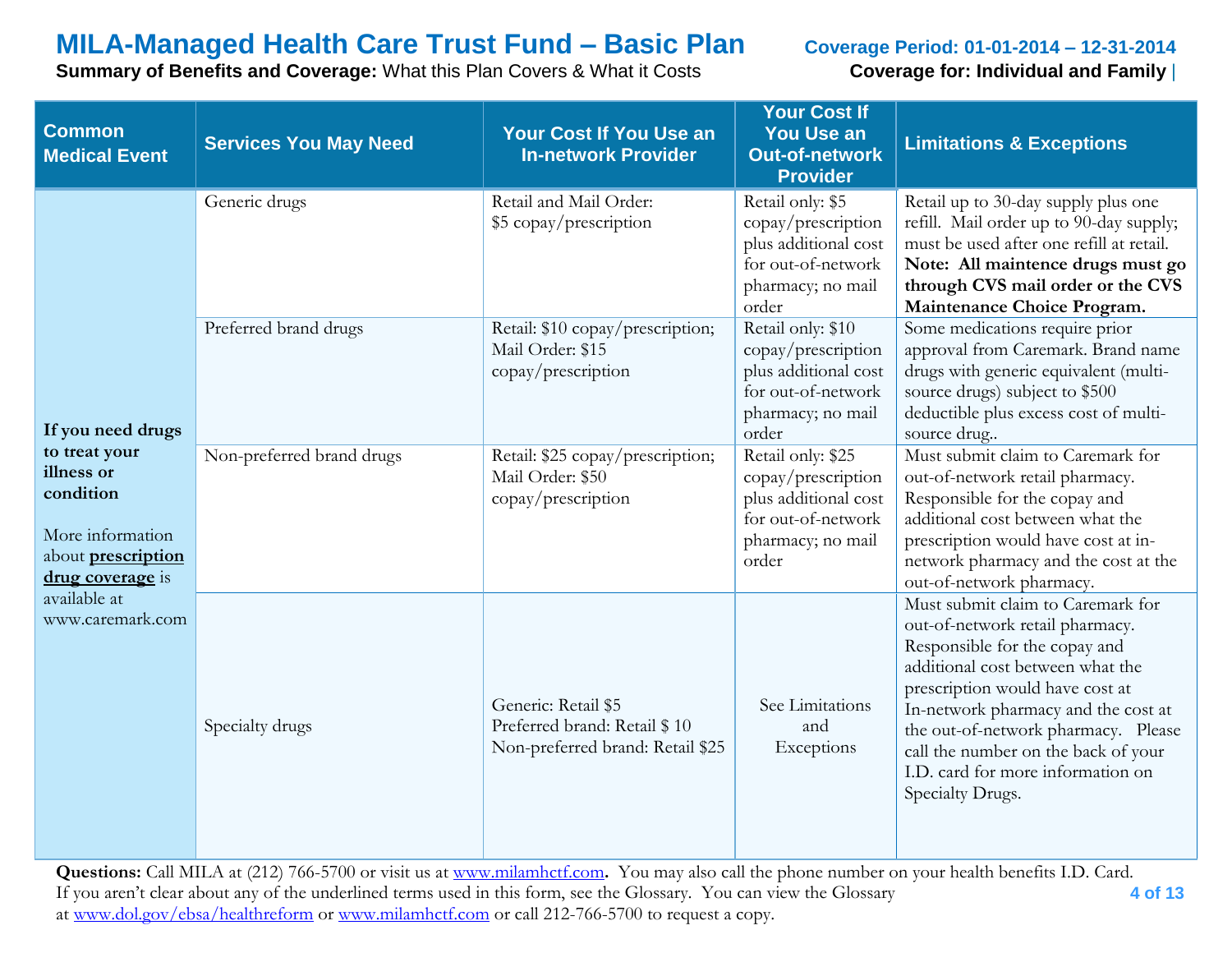**Summary of Benefits and Coverage:** What this Plan Covers & What it Costs **Coverage for: Individual and Family** 

| <b>Common</b><br><b>Medical Event</b>                                                                         | <b>Services You May Need</b> | <b>Your Cost If You Use an</b><br><b>In-network Provider</b>                            | <b>Your Cost If</b><br>You Use an<br><b>Out-of-network</b><br><b>Provider</b>                                       | <b>Limitations &amp; Exceptions</b>                                                                                                                                                                                                                                                                                                                        |
|---------------------------------------------------------------------------------------------------------------|------------------------------|-----------------------------------------------------------------------------------------|---------------------------------------------------------------------------------------------------------------------|------------------------------------------------------------------------------------------------------------------------------------------------------------------------------------------------------------------------------------------------------------------------------------------------------------------------------------------------------------|
|                                                                                                               | Generic drugs                | Retail and Mail Order:<br>\$5 copay/prescription                                        | Retail only: \$5<br>copay/prescription<br>plus additional cost<br>for out-of-network<br>pharmacy; no mail<br>order  | Retail up to 30-day supply plus one<br>refill. Mail order up to 90-day supply;<br>must be used after one refill at retail.<br>Note: All maintence drugs must go<br>through CVS mail order or the CVS<br>Maintenance Choice Program.                                                                                                                        |
| If you need drugs                                                                                             | Preferred brand drugs        | Retail: \$10 copay/prescription;<br>Mail Order: \$15<br>copay/prescription              | Retail only: \$10<br>copay/prescription<br>plus additional cost<br>for out-of-network<br>pharmacy; no mail<br>order | Some medications require prior<br>approval from Caremark. Brand name<br>drugs with generic equivalent (multi-<br>source drugs) subject to \$500<br>deductible plus excess cost of multi-<br>source drug                                                                                                                                                    |
| to treat your<br>illness or<br>condition<br>More information<br>about <b>prescription</b><br>drug coverage is | Non-preferred brand drugs    | Retail: \$25 copay/prescription;<br>Mail Order: \$50<br>copay/prescription              | Retail only: \$25<br>copay/prescription<br>plus additional cost<br>for out-of-network<br>pharmacy; no mail<br>order | Must submit claim to Caremark for<br>out-of-network retail pharmacy.<br>Responsible for the copay and<br>additional cost between what the<br>prescription would have cost at in-<br>network pharmacy and the cost at the<br>out-of-network pharmacy.                                                                                                       |
| available at<br>www.caremark.com                                                                              | Specialty drugs              | Generic: Retail \$5<br>Preferred brand: Retail \$10<br>Non-preferred brand: Retail \$25 | See Limitations<br>and<br>Exceptions                                                                                | Must submit claim to Caremark for<br>out-of-network retail pharmacy.<br>Responsible for the copay and<br>additional cost between what the<br>prescription would have cost at<br>In-network pharmacy and the cost at<br>the out-of-network pharmacy. Please<br>call the number on the back of your<br>I.D. card for more information on<br>Specialty Drugs. |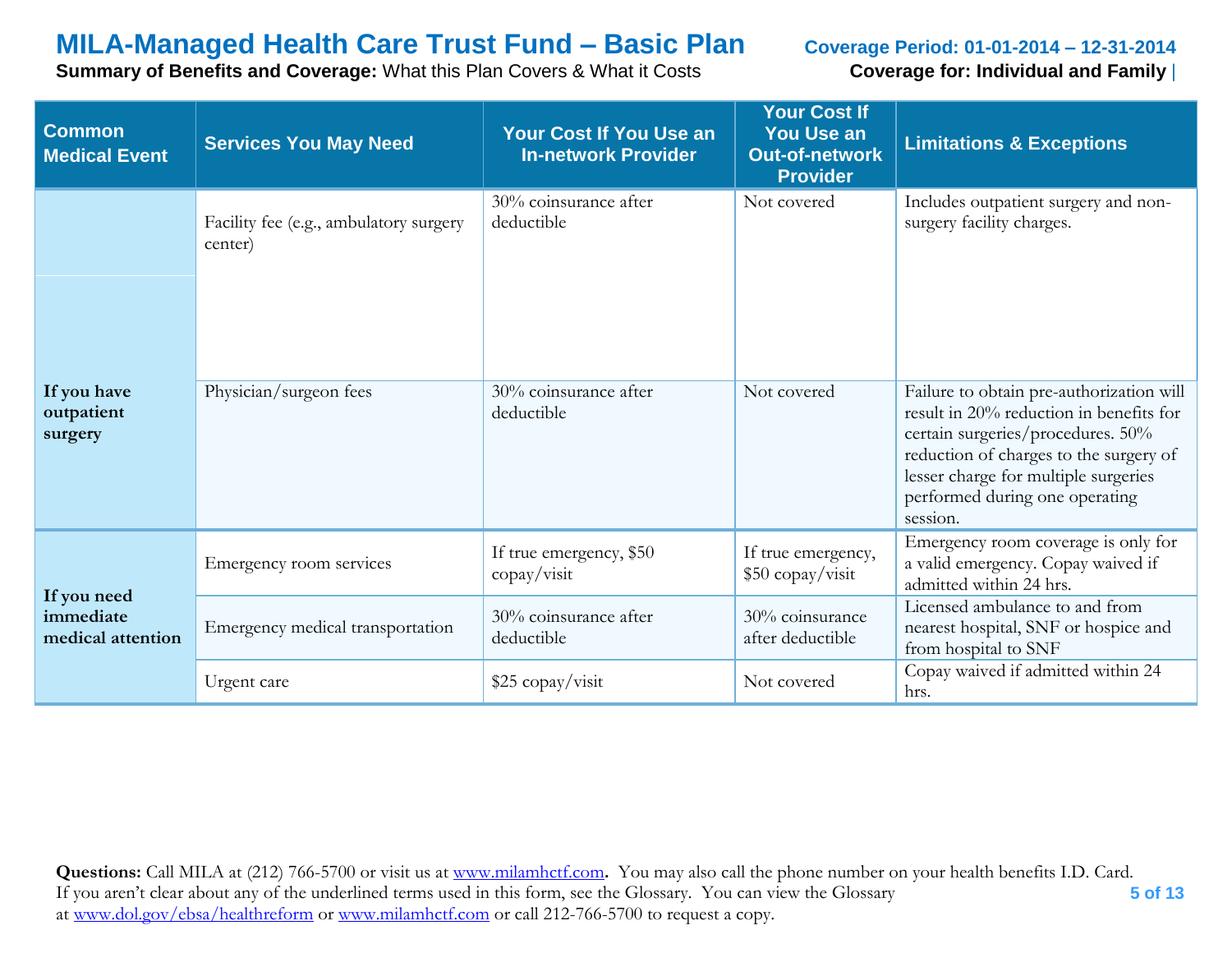**Summary of Benefits and Coverage:** What this Plan Covers & What it Costs **Coverage for: Individual and Family** |

| <b>Common</b><br><b>Medical Event</b>         | <b>Services You May Need</b>                      | Your Cost If You Use an<br><b>In-network Provider</b> | <b>Your Cost If</b><br><b>You Use an</b><br><b>Out-of-network</b><br><b>Provider</b> | <b>Limitations &amp; Exceptions</b>                                                                                                                                                                                                                      |
|-----------------------------------------------|---------------------------------------------------|-------------------------------------------------------|--------------------------------------------------------------------------------------|----------------------------------------------------------------------------------------------------------------------------------------------------------------------------------------------------------------------------------------------------------|
|                                               | Facility fee (e.g., ambulatory surgery<br>center) | 30% coinsurance after<br>deductible                   | Not covered                                                                          | Includes outpatient surgery and non-<br>surgery facility charges.                                                                                                                                                                                        |
| If you have<br>outpatient<br>surgery          | Physician/surgeon fees                            | 30% coinsurance after<br>deductible                   | Not covered                                                                          | Failure to obtain pre-authorization will<br>result in 20% reduction in benefits for<br>certain surgeries/procedures. 50%<br>reduction of charges to the surgery of<br>lesser charge for multiple surgeries<br>performed during one operating<br>session. |
|                                               | Emergency room services                           | If true emergency, \$50<br>copay/visit                | If true emergency,<br>\$50 copay/visit                                               | Emergency room coverage is only for<br>a valid emergency. Copay waived if<br>admitted within 24 hrs.                                                                                                                                                     |
| If you need<br>immediate<br>medical attention | Emergency medical transportation                  | 30% coinsurance after<br>deductible                   | 30% coinsurance<br>after deductible                                                  | Licensed ambulance to and from<br>nearest hospital, SNF or hospice and<br>from hospital to SNF                                                                                                                                                           |
|                                               | Urgent care                                       | \$25 copay/visit                                      | Not covered                                                                          | Copay waived if admitted within 24<br>hrs.                                                                                                                                                                                                               |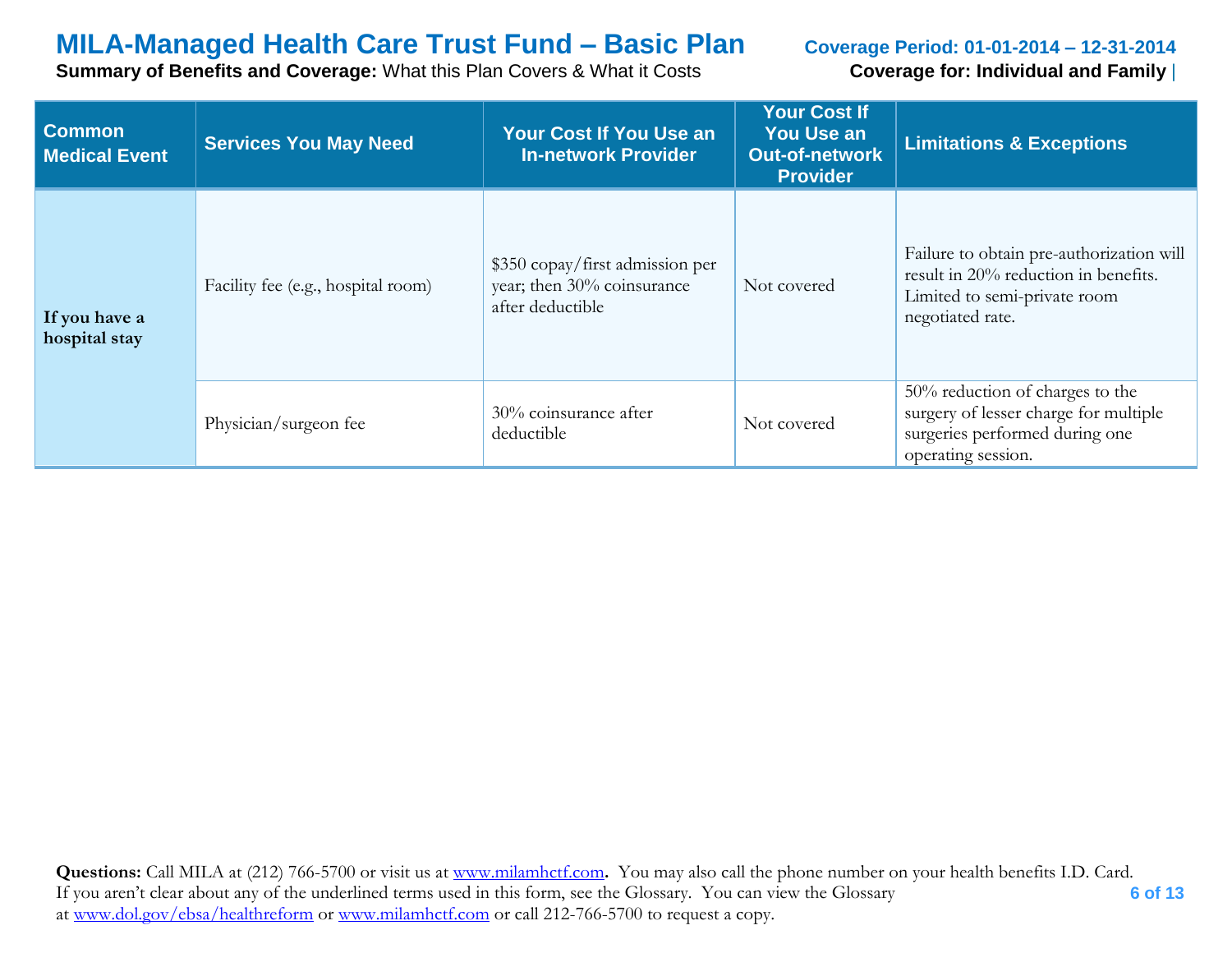**Summary of Benefits and Coverage:** What this Plan Covers & What it Costs **Coverage for: Individual and Family** |

| <b>Common</b><br><b>Medical Event</b> | <b>Services You May Need</b>       | <b>Your Cost If You Use an</b><br><b>In-network Provider</b>                      | <b>Your Cost If</b><br><b>You Use an</b><br><b>Out-of-network</b><br><b>Provider</b> | <b>Limitations &amp; Exceptions</b>                                                                                                  |
|---------------------------------------|------------------------------------|-----------------------------------------------------------------------------------|--------------------------------------------------------------------------------------|--------------------------------------------------------------------------------------------------------------------------------------|
| If you have a<br>hospital stay        | Facility fee (e.g., hospital room) | \$350 copay/first admission per<br>year; then 30% coinsurance<br>after deductible | Not covered                                                                          | Failure to obtain pre-authorization will<br>result in 20% reduction in benefits.<br>Limited to semi-private room<br>negotiated rate. |
|                                       | Physician/surgeon fee              | 30% coinsurance after<br>deductible                                               | Not covered                                                                          | 50% reduction of charges to the<br>surgery of lesser charge for multiple<br>surgeries performed during one<br>operating session.     |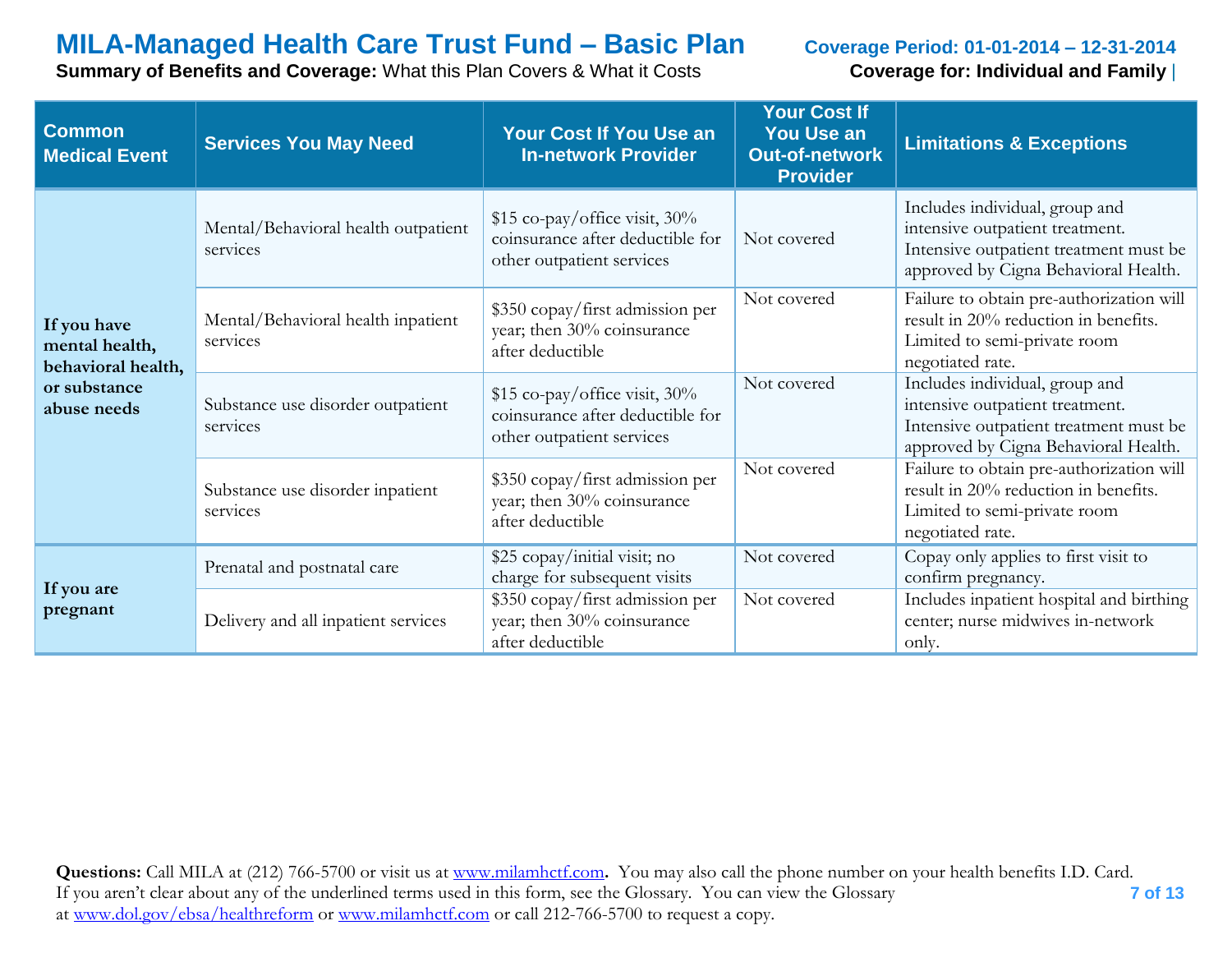**Summary of Benefits and Coverage:** What this Plan Covers & What it Costs **Coverage for: Individual and Family** |

| <b>Common</b><br><b>Medical Event</b>                                              | <b>Services You May Need</b>                    | Your Cost If You Use an<br><b>In-network Provider</b>                                           | <b>Your Cost If</b><br><b>You Use an</b><br><b>Out-of-network</b><br><b>Provider</b> | <b>Limitations &amp; Exceptions</b>                                                                                                                 |
|------------------------------------------------------------------------------------|-------------------------------------------------|-------------------------------------------------------------------------------------------------|--------------------------------------------------------------------------------------|-----------------------------------------------------------------------------------------------------------------------------------------------------|
|                                                                                    | Mental/Behavioral health outpatient<br>services | $$15$ co-pay/office visit, 30%<br>coinsurance after deductible for<br>other outpatient services | Not covered                                                                          | Includes individual, group and<br>intensive outpatient treatment.<br>Intensive outpatient treatment must be<br>approved by Cigna Behavioral Health. |
| If you have<br>mental health,<br>behavioral health,<br>or substance<br>abuse needs | Mental/Behavioral health inpatient<br>services  | \$350 copay/first admission per<br>year; then 30% coinsurance<br>after deductible               | Not covered                                                                          | Failure to obtain pre-authorization will<br>result in 20% reduction in benefits.<br>Limited to semi-private room<br>negotiated rate.                |
|                                                                                    | Substance use disorder outpatient<br>services   | $$15$ co-pay/office visit, 30%<br>coinsurance after deductible for<br>other outpatient services | Not covered                                                                          | Includes individual, group and<br>intensive outpatient treatment.<br>Intensive outpatient treatment must be<br>approved by Cigna Behavioral Health. |
|                                                                                    | Substance use disorder inpatient<br>services    | \$350 copay/first admission per<br>year; then 30% coinsurance<br>after deductible               | Not covered                                                                          | Failure to obtain pre-authorization will<br>result in 20% reduction in benefits.<br>Limited to semi-private room<br>negotiated rate.                |
|                                                                                    | Prenatal and postnatal care                     | \$25 copay/initial visit; no<br>charge for subsequent visits                                    | Not covered                                                                          | Copay only applies to first visit to<br>confirm pregnancy.                                                                                          |
| If you are<br>pregnant                                                             | Delivery and all inpatient services             | \$350 copay/first admission per<br>year; then 30% coinsurance<br>after deductible               | Not covered                                                                          | Includes inpatient hospital and birthing<br>center; nurse midwives in-network<br>only.                                                              |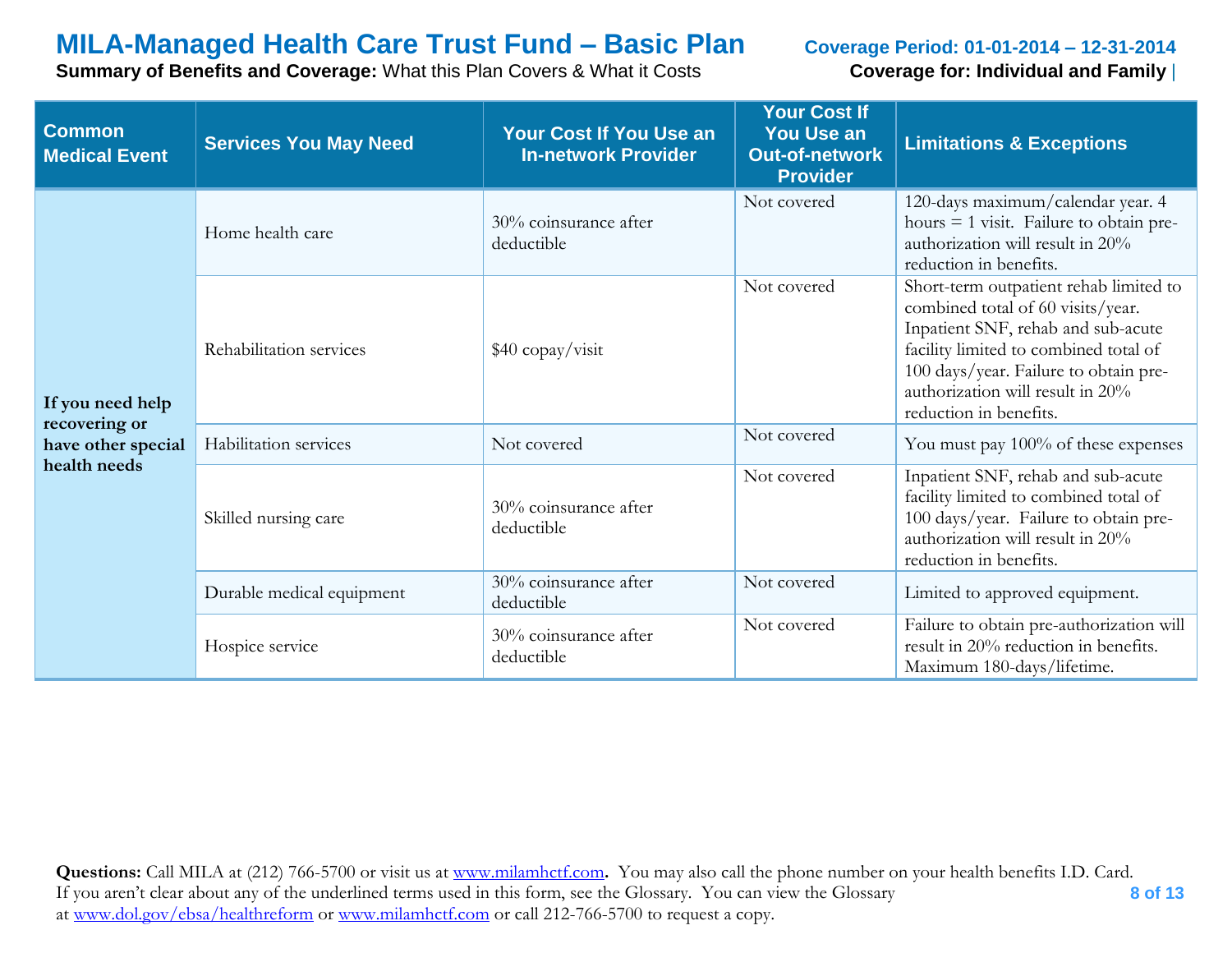**Summary of Benefits and Coverage:** What this Plan Covers & What it Costs **Coverage for: Individual and Family** |

| <b>Common</b><br><b>Medical Event</b> | <b>Services You May Need</b> | <b>Your Cost If You Use an</b><br><b>In-network Provider</b> | <b>Your Cost If</b><br><b>You Use an</b><br><b>Out-of-network</b><br><b>Provider</b> | <b>Limitations &amp; Exceptions</b>                                                                                                                                                                                                                               |
|---------------------------------------|------------------------------|--------------------------------------------------------------|--------------------------------------------------------------------------------------|-------------------------------------------------------------------------------------------------------------------------------------------------------------------------------------------------------------------------------------------------------------------|
| If you need help                      | Home health care             | 30% coinsurance after<br>deductible                          | Not covered                                                                          | 120-days maximum/calendar year. 4<br>hours $=$ 1 visit. Failure to obtain pre-<br>authorization will result in 20%<br>reduction in benefits.                                                                                                                      |
|                                       | Rehabilitation services      | \$40 copay/visit                                             | Not covered                                                                          | Short-term outpatient rehab limited to<br>combined total of 60 visits/year.<br>Inpatient SNF, rehab and sub-acute<br>facility limited to combined total of<br>100 days/year. Failure to obtain pre-<br>authorization will result in 20%<br>reduction in benefits. |
| recovering or<br>have other special   | Habilitation services        | Not covered                                                  | Not covered                                                                          | You must pay 100% of these expenses                                                                                                                                                                                                                               |
| health needs                          | Skilled nursing care         | 30% coinsurance after<br>deductible                          | Not covered                                                                          | Inpatient SNF, rehab and sub-acute<br>facility limited to combined total of<br>100 days/year. Failure to obtain pre-<br>authorization will result in 20%<br>reduction in benefits.                                                                                |
|                                       | Durable medical equipment    | 30% coinsurance after<br>deductible                          | Not covered                                                                          | Limited to approved equipment.                                                                                                                                                                                                                                    |
|                                       | Hospice service              | 30% coinsurance after<br>deductible                          | Not covered                                                                          | Failure to obtain pre-authorization will<br>result in 20% reduction in benefits.<br>Maximum 180-days/lifetime.                                                                                                                                                    |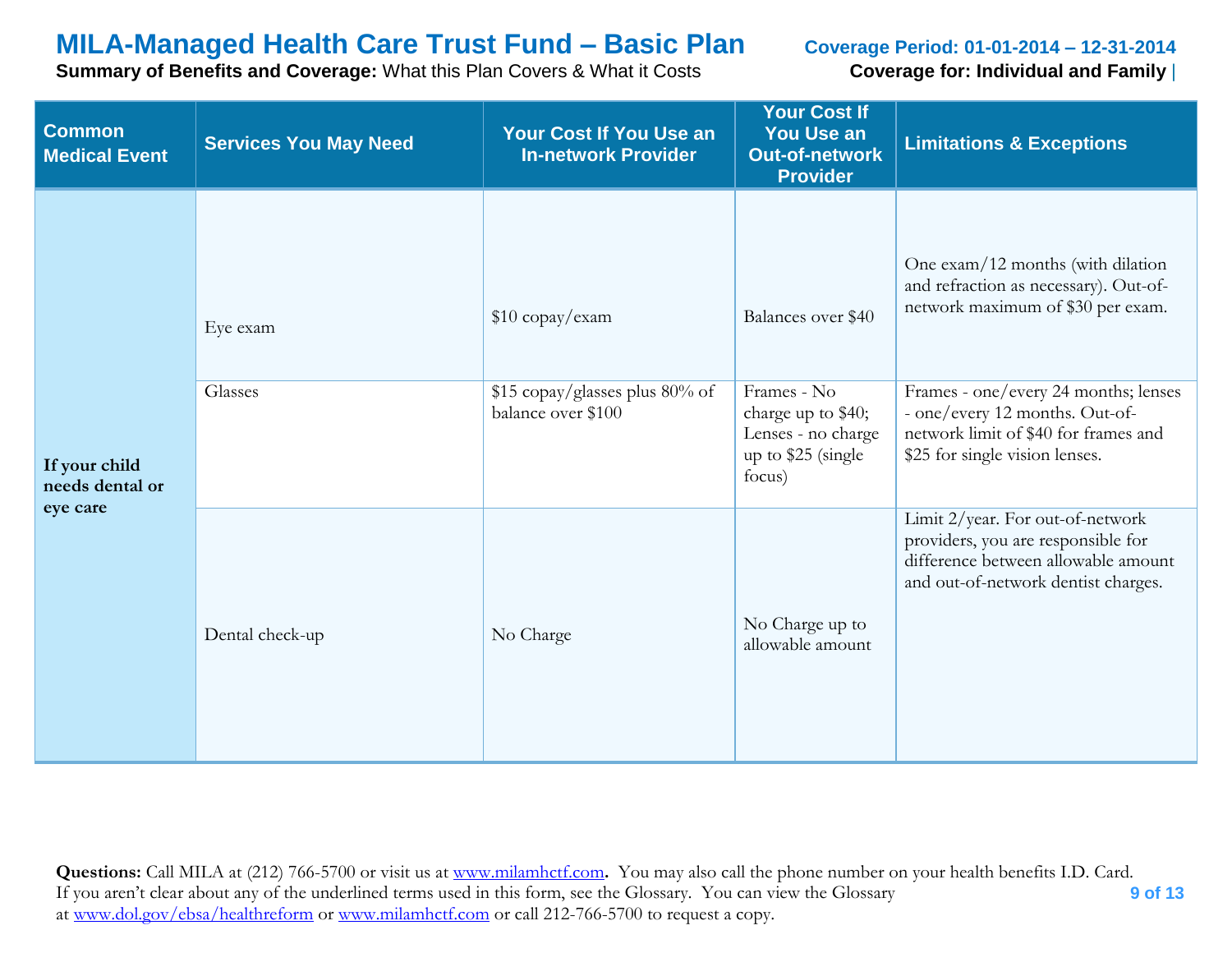**Summary of Benefits and Coverage:** What this Plan Covers & What it Costs **Coverage for: Individual and Family** |

| <b>Common</b><br><b>Medical Event</b>        | <b>Services You May Need</b> | Your Cost If You Use an<br><b>In-network Provider</b> | <b>Your Cost If</b><br><b>You Use an</b><br><b>Out-of-network</b><br><b>Provider</b>    | <b>Limitations &amp; Exceptions</b>                                                                                                                  |
|----------------------------------------------|------------------------------|-------------------------------------------------------|-----------------------------------------------------------------------------------------|------------------------------------------------------------------------------------------------------------------------------------------------------|
|                                              | Eye exam                     | \$10 copay/exam                                       | Balances over \$40                                                                      | One exam/12 months (with dilation<br>and refraction as necessary). Out-of-<br>network maximum of \$30 per exam.                                      |
| If your child<br>needs dental or<br>eye care | Glasses                      | \$15 copay/glasses plus 80% of<br>balance over \$100  | Frames - No<br>charge up to \$40;<br>Lenses - no charge<br>up to \$25 (single<br>focus) | Frames - one/every 24 months; lenses<br>- one/every 12 months. Out-of-<br>network limit of \$40 for frames and<br>\$25 for single vision lenses.     |
|                                              | Dental check-up              | No Charge                                             | No Charge up to<br>allowable amount                                                     | Limit 2/year. For out-of-network<br>providers, you are responsible for<br>difference between allowable amount<br>and out-of-network dentist charges. |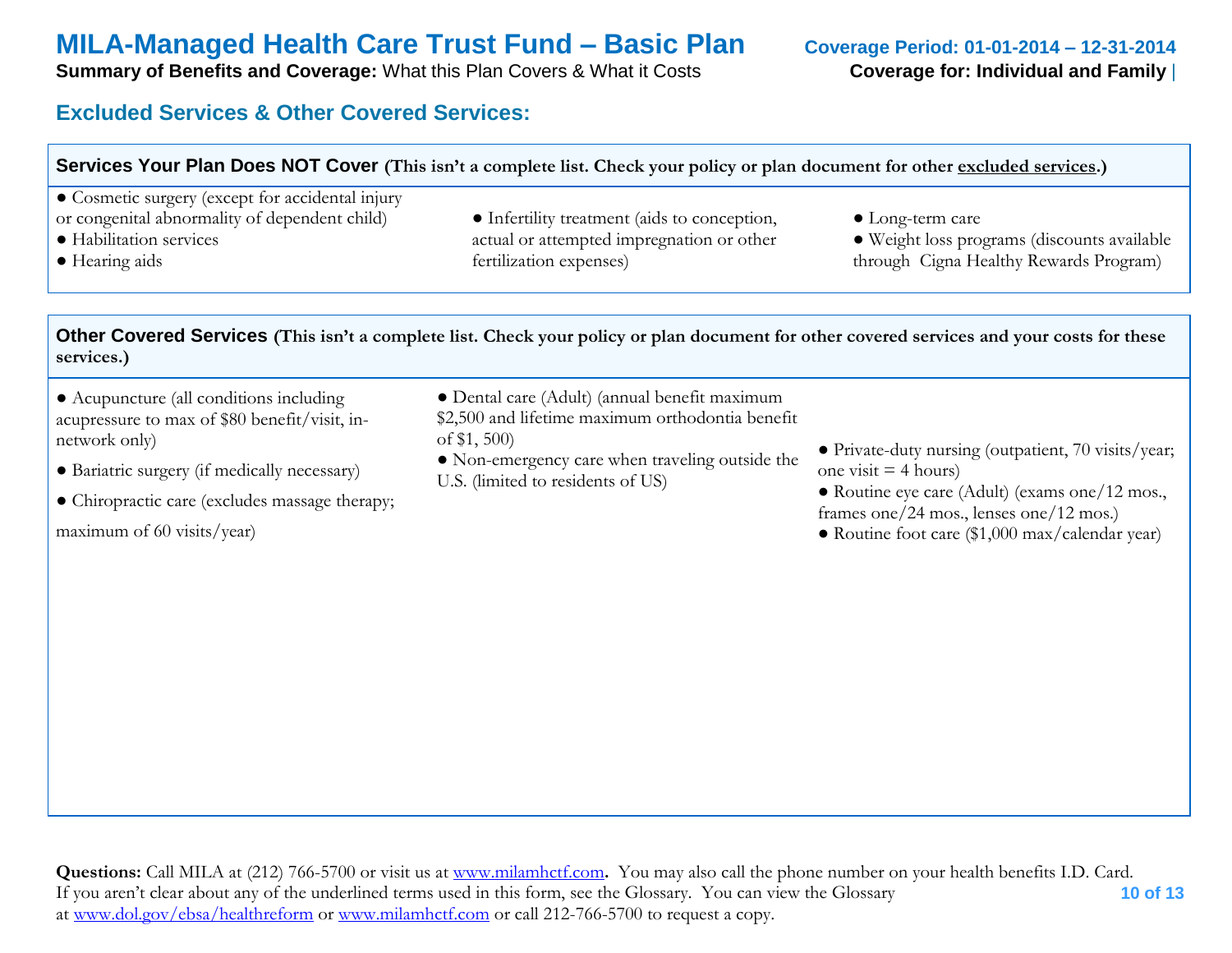**Summary of Benefits and Coverage:** What this Plan Covers & What it Costs **Coverage for: Individual and Family** 

### **Excluded Services & Other Covered Services:**

| Services Your Plan Does NOT Cover (This isn't a complete list. Check your policy or plan document for other excluded services.)                        |                                                                                                                      |                                                                                                                   |  |
|--------------------------------------------------------------------------------------------------------------------------------------------------------|----------------------------------------------------------------------------------------------------------------------|-------------------------------------------------------------------------------------------------------------------|--|
| • Cosmetic surgery (except for accidental injury<br>or congenital abnormality of dependent child)<br>• Habilitation services<br>$\bullet$ Hearing aids | • Infertility treatment (aids to conception,<br>actual or attempted impregnation or other<br>fertilization expenses) | $\bullet$ Long-term care<br>• Weight loss programs (discounts available<br>through Cigna Healthy Rewards Program) |  |

**Other Covered Services (This isn't a complete list. Check your policy or plan document for other covered services and your costs for these services.)**

- Acupuncture (all conditions including acupressure to max of \$80 benefit/visit, innetwork only)
- Bariatric surgery (if medically necessary)
- Chiropractic care (excludes massage therapy;

maximum of 60 visits/year)

- Dental care (Adult) (annual benefit maximum
- \$2,500 and lifetime maximum orthodontia benefit of \$1, 500)
- Non-emergency care when traveling outside the U.S. (limited to residents of US)
- Private-duty nursing (outpatient, 70 visits/year; one visit  $=$  4 hours)
- Routine eye care (Adult) (exams one/12 mos., frames one/24 mos., lenses one/12 mos.)
- Routine foot care (\$1,000 max/calendar year)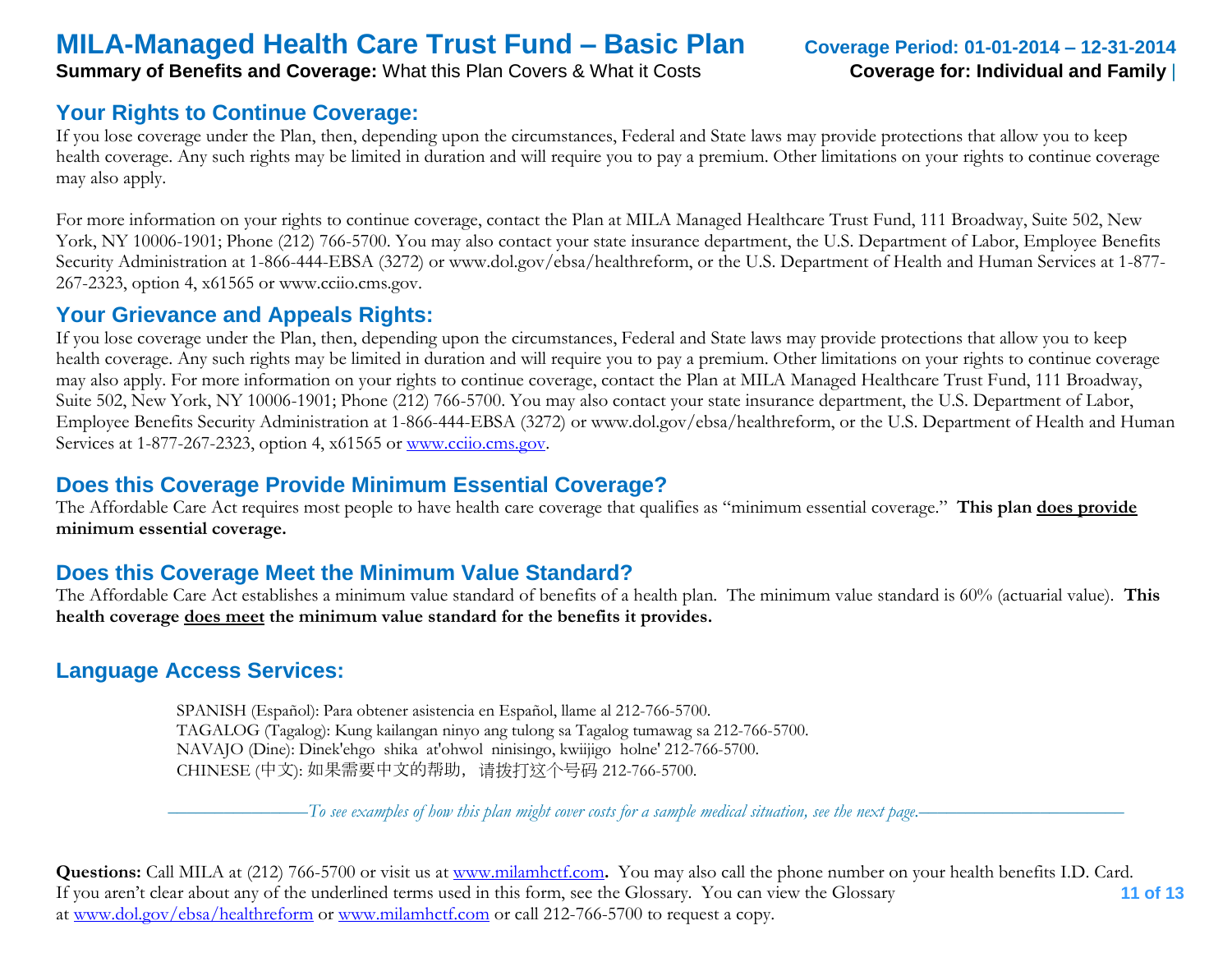**Summary of Benefits and Coverage:** What this Plan Covers & What it Costs **Coverage for: Individual and Family** 

#### **Your Rights to Continue Coverage:**

If you lose coverage under the Plan, then, depending upon the circumstances, Federal and State laws may provide protections that allow you to keep health coverage. Any such rights may be limited in duration and will require you to pay a premium. Other limitations on your rights to continue coverage may also apply.

For more information on your rights to continue coverage, contact the Plan at MILA Managed Healthcare Trust Fund, 111 Broadway, Suite 502, New York, NY 10006-1901; Phone (212) 766-5700. You may also contact your state insurance department, the U.S. Department of Labor, Employee Benefits Security Administration at 1-866-444-EBSA (3272) or www.dol.gov/ebsa/healthreform, or the U.S. Department of Health and Human Services at 1-877- 267-2323, option 4, x61565 or www.cciio.cms.gov.

#### **Your Grievance and Appeals Rights:**

If you lose coverage under the Plan, then, depending upon the circumstances, Federal and State laws may provide protections that allow you to keep health coverage. Any such rights may be limited in duration and will require you to pay a premium. Other limitations on your rights to continue coverage may also apply. For more information on your rights to continue coverage, contact the Plan at MILA Managed Healthcare Trust Fund, 111 Broadway, Suite 502, New York, NY 10006-1901; Phone (212) 766-5700. You may also contact your state insurance department, the U.S. Department of Labor, Employee Benefits Security Administration at 1-866-444-EBSA (3272) or www.dol.gov/ebsa/healthreform, or the U.S. Department of Health and Human Services at 1-877-267-2323, option 4, x61565 or [www.cciio.cms.gov.](http://www.cciio.cms.gov/)

#### **Does this Coverage Provide Minimum Essential Coverage?**

The Affordable Care Act requires most people to have health care coverage that qualifies as "minimum essential coverage." **This plan does provide minimum essential coverage.** 

#### **Does this Coverage Meet the Minimum Value Standard?**

The Affordable Care Act establishes a minimum value standard of benefits of a health plan. The minimum value standard is 60% (actuarial value). **This health coverage does meet the minimum value standard for the benefits it provides.** 

#### **Language Access Services:**

 SPANISH (Español): Para obtener asistencia en Español, llame al 212-766-5700. TAGALOG (Tagalog): Kung kailangan ninyo ang tulong sa Tagalog tumawag sa 212-766-5700. NAVAJO (Dine): Dinek'ehgo shika at'ohwol ninisingo, kwiijigo holne' 212-766-5700. CHINESE (中文): 如果需要中文的帮助,请拨打这个号码 212-766-5700.

–––––––––––––––*To see examples of how this plan might cover costs for a sample medical situation, see the next page.–––––––––––*–––––––––––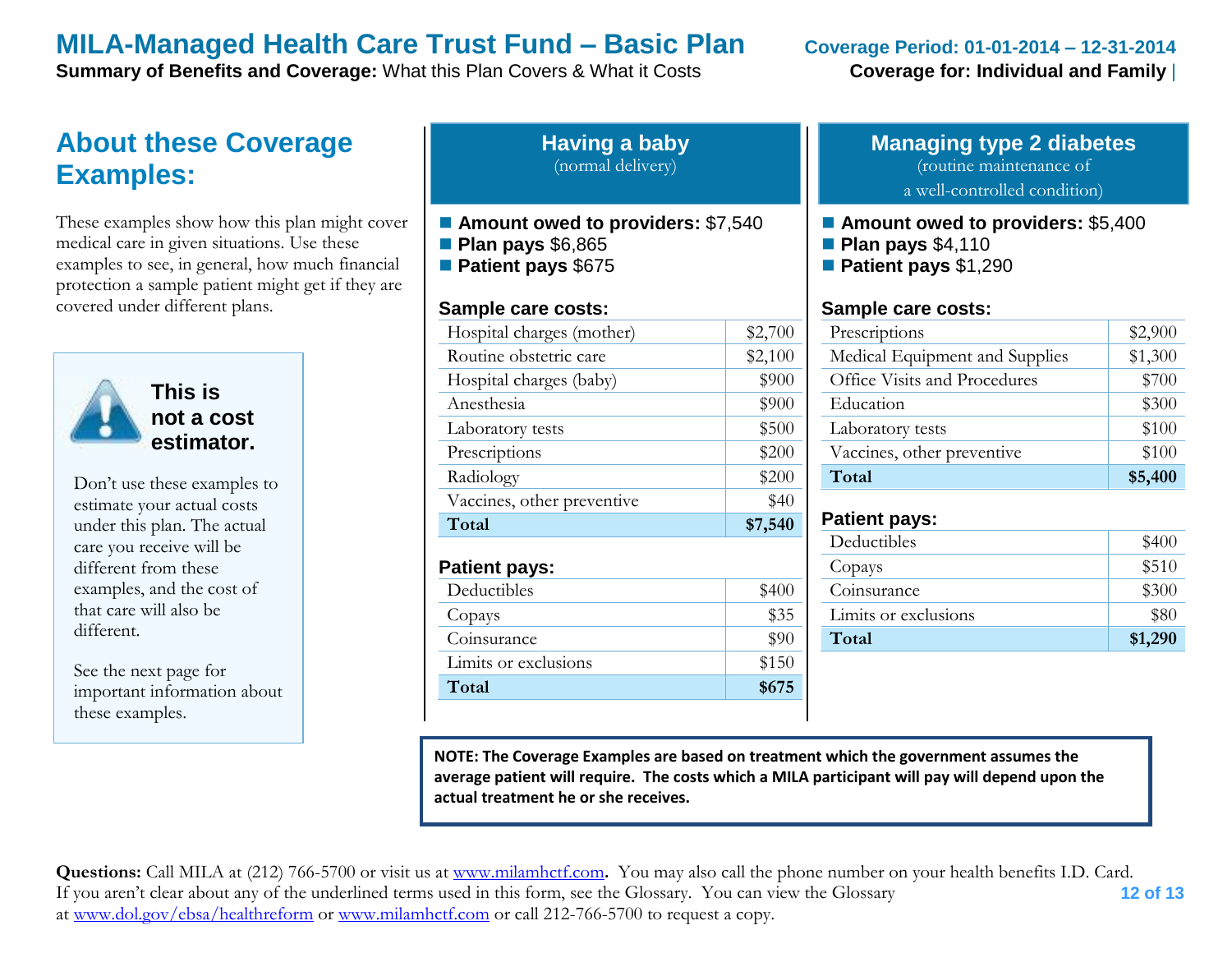**Summary of Benefits and Coverage:** What this Plan Covers & What it Costs **Coverage for: Individual and Family** 

## **About these Coverage Examples:**

These examples show how this plan might cover medical care in given situations. Use these examples to see, in general, how much financial protection a sample patient might get if they are covered under different plans.



**This is not a cost estimator.** 

Don't use these examples to estimate your actual costs under this plan. The actual care you receive will be different from these examples, and the cost of that care will also be different.

See the next page for important information about these examples.

| <b>Having a baby</b> |  |
|----------------------|--|
| (normal delivery)    |  |

- Amount owed to providers: \$7,540
- **Plan pays** \$6,865
- **Patient pays** \$675

#### **Sample care costs:**

| \$40    |
|---------|
|         |
| \$200   |
| \$200   |
| \$500   |
| \$900   |
| \$900   |
| \$2,100 |
| \$2,700 |
|         |

#### **Patient pays:**

| Deductibles          | \$400 |
|----------------------|-------|
| Copays               | \$35  |
| Coinsurance          | \$90  |
| Limits or exclusions | \$150 |
| Total                | \$675 |

### **Managing type 2 diabetes** (routine maintenance of

a well-controlled condition)

- **Amount owed to providers: \$5,400**
- **Plan pays** \$4,110
- **Patient pays** \$1,290

#### **Sample care costs:**

| Prescriptions                  | \$2,900 |
|--------------------------------|---------|
| Medical Equipment and Supplies | \$1,300 |
| Office Visits and Procedures   | \$700   |
| Education                      | \$300   |
| Laboratory tests               | \$100   |
| Vaccines, other preventive     | \$100   |
| Total                          | \$5,400 |

#### **Patient pays:**

| Deductibles          | \$400   |
|----------------------|---------|
| Copays               | \$510   |
| Coinsurance          | \$300   |
| Limits or exclusions | \$80    |
| Total                | \$1,290 |
|                      |         |

**NOTE: The Coverage Examples are based on treatment which the government assumes the average patient will require. The costs which a MILA participant will pay will depend upon the actual treatment he or she receives.**